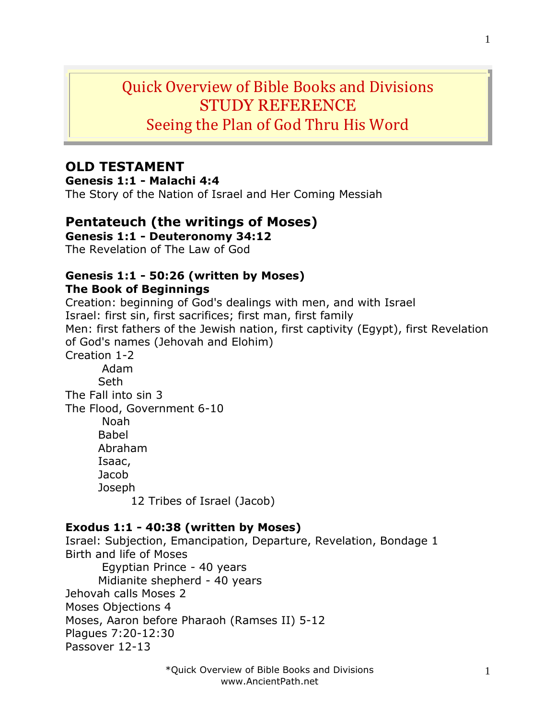# Quick Overview of Bible Books and Divisions STUDY REFERENCE Seeing the Plan of God Thru His Word

## **OLD TESTAMENT**

**Genesis 1:1 - Malachi 4:4**

The Story of the Nation of Israel and Her Coming Messiah

# **Pentateuch (the writings of Moses)**

**Genesis 1:1 - Deuteronomy 34:12**

The Revelation of The Law of God

#### **Genesis 1:1 - 50:26 (written by Moses) The Book of Beginnings**

Creation: beginning of God's dealings with men, and with Israel Israel: first sin, first sacrifices; first man, first family Men: first fathers of the Jewish nation, first captivity (Egypt), first Revelation of God's names (Jehovah and Elohim) Creation 1-2 Adam Seth The Fall into sin 3 The Flood, Government 6-10 Noah Babel Abraham Isaac, Jacob Joseph 12 Tribes of Israel (Jacob)

#### **Exodus 1:1 - 40:38 (written by Moses)**

Israel: Subjection, Emancipation, Departure, Revelation, Bondage 1 Birth and life of Moses Egyptian Prince - 40 years Midianite shepherd - 40 years Jehovah calls Moses 2 Moses Objections 4 Moses, Aaron before Pharaoh (Ramses II) 5-12 Plagues 7:20-12:30 Passover 12-13

1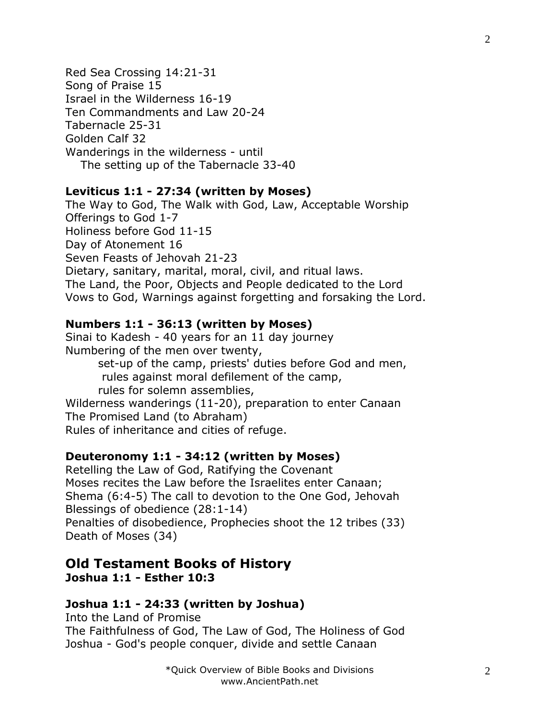Red Sea Crossing 14:21-31 Song of Praise 15 Israel in the Wilderness 16-19 Ten Commandments and Law 20-24 Tabernacle 25-31 Golden Calf 32 Wanderings in the wilderness - until The setting up of the Tabernacle 33-40

#### **Leviticus 1:1 - 27:34 (written by Moses)**

The Way to God, The Walk with God, Law, Acceptable Worship Offerings to God 1-7 Holiness before God 11-15 Day of Atonement 16 Seven Feasts of Jehovah 21-23 Dietary, sanitary, marital, moral, civil, and ritual laws. The Land, the Poor, Objects and People dedicated to the Lord Vows to God, Warnings against forgetting and forsaking the Lord.

#### **Numbers 1:1 - 36:13 (written by Moses)**

Sinai to Kadesh - 40 years for an 11 day journey Numbering of the men over twenty, set-up of the camp, priests' duties before God and men, rules against moral defilement of the camp, rules for solemn assemblies, Wilderness wanderings (11-20), preparation to enter Canaan The Promised Land (to Abraham) Rules of inheritance and cities of refuge.

#### **Deuteronomy 1:1 - 34:12 (written by Moses)**

Retelling the Law of God, Ratifying the Covenant Moses recites the Law before the Israelites enter Canaan; Shema (6:4-5) The call to devotion to the One God, Jehovah Blessings of obedience (28:1-14) Penalties of disobedience, Prophecies shoot the 12 tribes (33) Death of Moses (34)

#### **Old Testament Books of History Joshua 1:1 - Esther 10:3**

#### **Joshua 1:1 - 24:33 (written by Joshua)**

Into the Land of Promise The Faithfulness of God, The Law of God, The Holiness of God Joshua - God's people conquer, divide and settle Canaan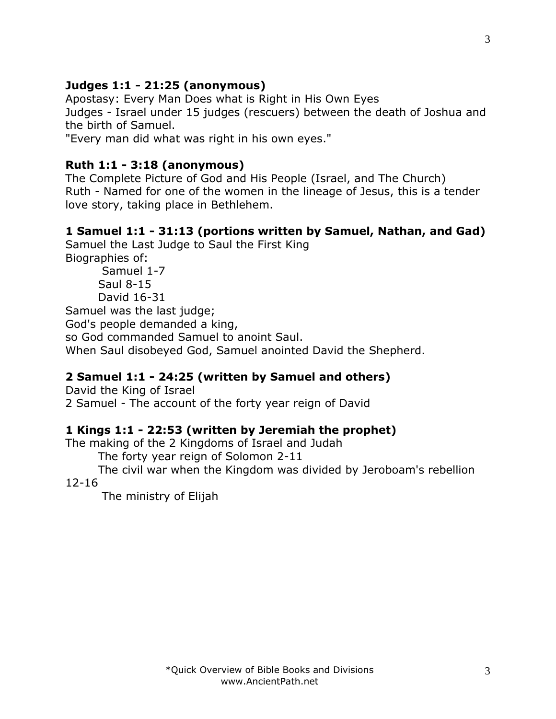3

# **Ruth 1:1 - 3:18 (anonymous)** The Complete Picture of God and His People (Israel, and The Church) Ruth - Named for one of the women in the lineage of Jesus, this is a tender love story, taking place in Bethlehem.

Apostasy: Every Man Does what is Right in His Own Eyes

"Every man did what was right in his own eyes."

# **1 Samuel 1:1 - 31:13 (portions written by Samuel, Nathan, and Gad)**

Judges - Israel under 15 judges (rescuers) between the death of Joshua and

Samuel the Last Judge to Saul the First King Biographies of:

Samuel 1-7 Saul 8-15 David 16-31 Samuel was the last judge;

God's people demanded a king,

**Judges 1:1 - 21:25 (anonymous)**

the birth of Samuel.

so God commanded Samuel to anoint Saul.

When Saul disobeyed God, Samuel anointed David the Shepherd.

# **2 Samuel 1:1 - 24:25 (written by Samuel and others)**

David the King of Israel 2 Samuel - The account of the forty year reign of David

# **1 Kings 1:1 - 22:53 (written by Jeremiah the prophet)**

The making of the 2 Kingdoms of Israel and Judah

The forty year reign of Solomon 2-11

The civil war when the Kingdom was divided by Jeroboam's rebellion 12-16

The ministry of Elijah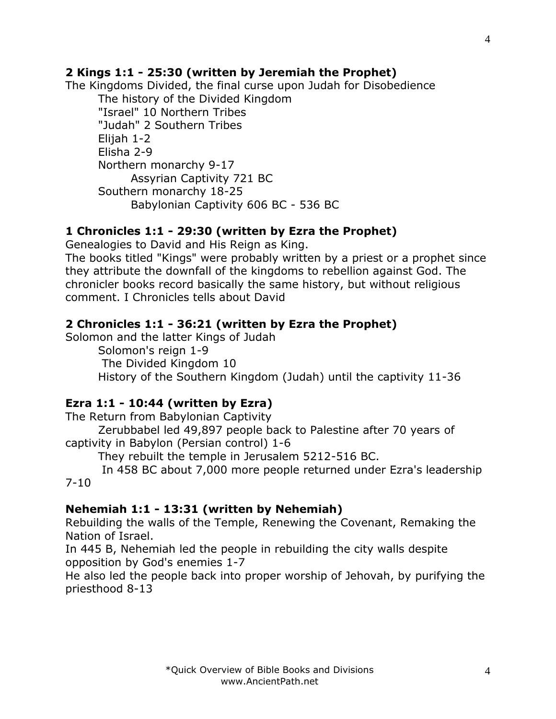### **2 Kings 1:1 - 25:30 (written by Jeremiah the Prophet)**

The Kingdoms Divided, the final curse upon Judah for Disobedience The history of the Divided Kingdom "Israel" 10 Northern Tribes "Judah" 2 Southern Tribes Elijah 1-2 Elisha 2-9 Northern monarchy 9-17 Assyrian Captivity 721 BC Southern monarchy 18-25 Babylonian Captivity 606 BC - 536 BC

#### **1 Chronicles 1:1 - 29:30 (written by Ezra the Prophet)**

Genealogies to David and His Reign as King.

The books titled "Kings" were probably written by a priest or a prophet since they attribute the downfall of the kingdoms to rebellion against God. The chronicler books record basically the same history, but without religious comment. I Chronicles tells about David

#### **2 Chronicles 1:1 - 36:21 (written by Ezra the Prophet)**

Solomon and the latter Kings of Judah

Solomon's reign 1-9 The Divided Kingdom 10 History of the Southern Kingdom (Judah) until the captivity 11-36

### **Ezra 1:1 - 10:44 (written by Ezra)**

The Return from Babylonian Captivity

Zerubbabel led 49,897 people back to Palestine after 70 years of captivity in Babylon (Persian control) 1-6

They rebuilt the temple in Jerusalem 5212-516 BC.

In 458 BC about 7,000 more people returned under Ezra's leadership 7-10

#### **Nehemiah 1:1 - 13:31 (written by Nehemiah)**

Rebuilding the walls of the Temple, Renewing the Covenant, Remaking the Nation of Israel.

In 445 B, Nehemiah led the people in rebuilding the city walls despite opposition by God's enemies 1-7

He also led the people back into proper worship of Jehovah, by purifying the priesthood 8-13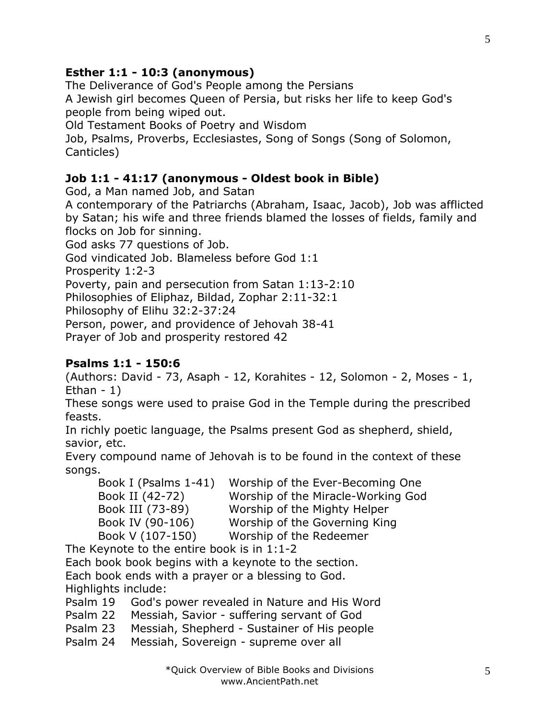### **Esther 1:1 - 10:3 (anonymous)**

The Deliverance of God's People among the Persians A Jewish girl becomes Queen of Persia, but risks her life to keep God's people from being wiped out.

Old Testament Books of Poetry and Wisdom

Job, Psalms, Proverbs, Ecclesiastes, Song of Songs (Song of Solomon, Canticles)

#### **Job 1:1 - 41:17 (anonymous - Oldest book in Bible)**

God, a Man named Job, and Satan

A contemporary of the Patriarchs (Abraham, Isaac, Jacob), Job was afflicted by Satan; his wife and three friends blamed the losses of fields, family and flocks on Job for sinning.

God asks 77 questions of Job.

God vindicated Job. Blameless before God 1:1

Prosperity 1:2-3

Poverty, pain and persecution from Satan 1:13-2:10

Philosophies of Eliphaz, Bildad, Zophar 2:11-32:1

Philosophy of Elihu 32:2-37:24

Person, power, and providence of Jehovah 38-41

Prayer of Job and prosperity restored 42

#### **Psalms 1:1 - 150:6**

(Authors: David - 73, Asaph - 12, Korahites - 12, Solomon - 2, Moses - 1, Ethan - 1)

These songs were used to praise God in the Temple during the prescribed feasts.

In richly poetic language, the Psalms present God as shepherd, shield, savior, etc.

Every compound name of Jehovah is to be found in the context of these songs.

| Book I (Psalms 1-41) | Worship of the Ever-Becoming One   |
|----------------------|------------------------------------|
| Book II (42-72)      | Worship of the Miracle-Working God |
| Book III (73-89)     | Worship of the Mighty Helper       |
| Book IV (90-106)     | Worship of the Governing King      |
| Book V (107-150)     | Worship of the Redeemer            |

The Keynote to the entire book is in 1:1-2 Each book book begins with a keynote to the section. Each book ends with a prayer or a blessing to God. Highlights include:

Psalm 19 God's power revealed in Nature and His Word

Psalm 22 Messiah, Savior - suffering servant of God

Psalm 23 Messiah, Shepherd - Sustainer of His people

Psalm 24 Messiah, Sovereign - supreme over all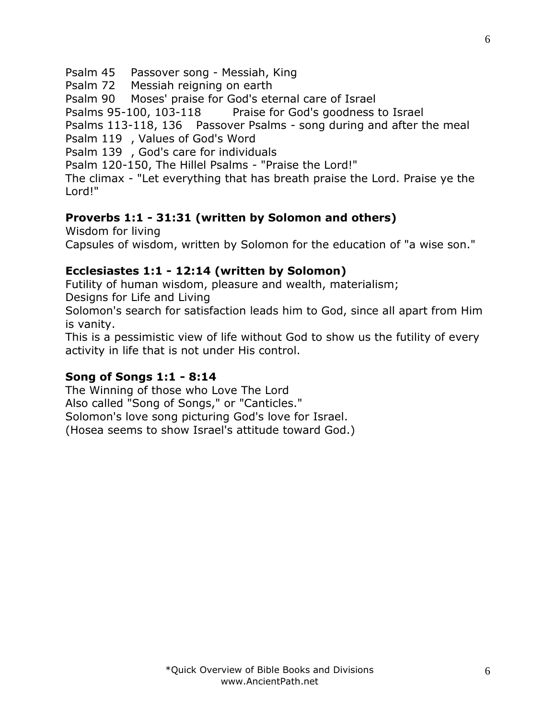Psalm 45 Passover song - Messiah, King

Psalm 72 Messiah reigning on earth

Psalm 90 Moses' praise for God's eternal care of Israel

Psalms 95-100, 103-118 Praise for God's goodness to Israel

Psalms 113-118, 136 Passover Psalms - song during and after the meal

Psalm 119 , Values of God's Word

Psalm 139 , God's care for individuals

Psalm 120-150, The Hillel Psalms - "Praise the Lord!"

The climax - "Let everything that has breath praise the Lord. Praise ye the Lord!"

# **Proverbs 1:1 - 31:31 (written by Solomon and others)**

Wisdom for living Capsules of wisdom, written by Solomon for the education of "a wise son."

# **Ecclesiastes 1:1 - 12:14 (written by Solomon)**

Futility of human wisdom, pleasure and wealth, materialism;

Designs for Life and Living

Solomon's search for satisfaction leads him to God, since all apart from Him is vanity.

This is a pessimistic view of life without God to show us the futility of every activity in life that is not under His control.

# **Song of Songs 1:1 - 8:14**

The Winning of those who Love The Lord Also called "Song of Songs," or "Canticles." Solomon's love song picturing God's love for Israel. (Hosea seems to show Israel's attitude toward God.)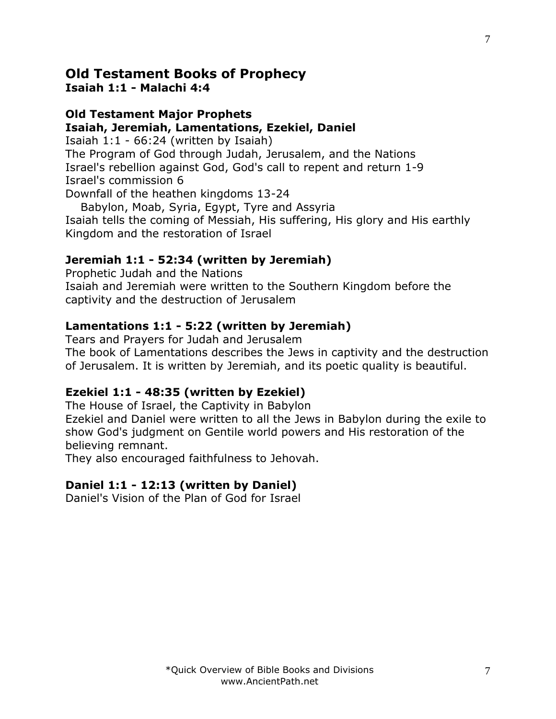# **Old Testament Books of Prophecy**

**Isaiah 1:1 - Malachi 4:4**

#### **Old Testament Major Prophets Isaiah, Jeremiah, Lamentations, Ezekiel, Daniel**

Isaiah 1:1 - 66:24 (written by Isaiah) The Program of God through Judah, Jerusalem, and the Nations Israel's rebellion against God, God's call to repent and return 1-9 Israel's commission 6 Downfall of the heathen kingdoms 13-24

 Babylon, Moab, Syria, Egypt, Tyre and Assyria Isaiah tells the coming of Messiah, His suffering, His glory and His earthly Kingdom and the restoration of Israel

# **Jeremiah 1:1 - 52:34 (written by Jeremiah)**

Prophetic Judah and the Nations Isaiah and Jeremiah were written to the Southern Kingdom before the captivity and the destruction of Jerusalem

## **Lamentations 1:1 - 5:22 (written by Jeremiah)**

Tears and Prayers for Judah and Jerusalem The book of Lamentations describes the Jews in captivity and the destruction of Jerusalem. It is written by Jeremiah, and its poetic quality is beautiful.

# **Ezekiel 1:1 - 48:35 (written by Ezekiel)**

The House of Israel, the Captivity in Babylon

Ezekiel and Daniel were written to all the Jews in Babylon during the exile to show God's judgment on Gentile world powers and His restoration of the believing remnant.

They also encouraged faithfulness to Jehovah.

### **Daniel 1:1 - 12:13 (written by Daniel)**

Daniel's Vision of the Plan of God for Israel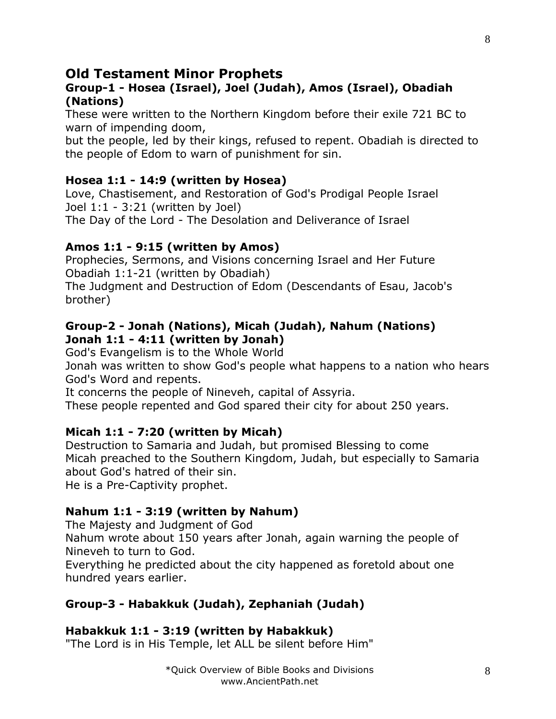# **Old Testament Minor Prophets**

#### **Group-1 - Hosea (Israel), Joel (Judah), Amos (Israel), Obadiah (Nations)**

These were written to the Northern Kingdom before their exile 721 BC to warn of impending doom,

but the people, led by their kings, refused to repent. Obadiah is directed to the people of Edom to warn of punishment for sin.

### **Hosea 1:1 - 14:9 (written by Hosea)**

Love, Chastisement, and Restoration of God's Prodigal People Israel Joel 1:1 - 3:21 (written by Joel) The Day of the Lord - The Desolation and Deliverance of Israel

#### **Amos 1:1 - 9:15 (written by Amos)**

Prophecies, Sermons, and Visions concerning Israel and Her Future Obadiah 1:1-21 (written by Obadiah)

The Judgment and Destruction of Edom (Descendants of Esau, Jacob's brother)

#### **Group-2 - Jonah (Nations), Micah (Judah), Nahum (Nations) Jonah 1:1 - 4:11 (written by Jonah)**

God's Evangelism is to the Whole World

Jonah was written to show God's people what happens to a nation who hears God's Word and repents.

It concerns the people of Nineveh, capital of Assyria.

These people repented and God spared their city for about 250 years.

### **Micah 1:1 - 7:20 (written by Micah)**

Destruction to Samaria and Judah, but promised Blessing to come Micah preached to the Southern Kingdom, Judah, but especially to Samaria about God's hatred of their sin. He is a Pre-Captivity prophet.

### **Nahum 1:1 - 3:19 (written by Nahum)**

The Majesty and Judgment of God

Nahum wrote about 150 years after Jonah, again warning the people of Nineveh to turn to God.

Everything he predicted about the city happened as foretold about one hundred years earlier.

### **Group-3 - Habakkuk (Judah), Zephaniah (Judah)**

#### **Habakkuk 1:1 - 3:19 (written by Habakkuk)**

"The Lord is in His Temple, let ALL be silent before Him"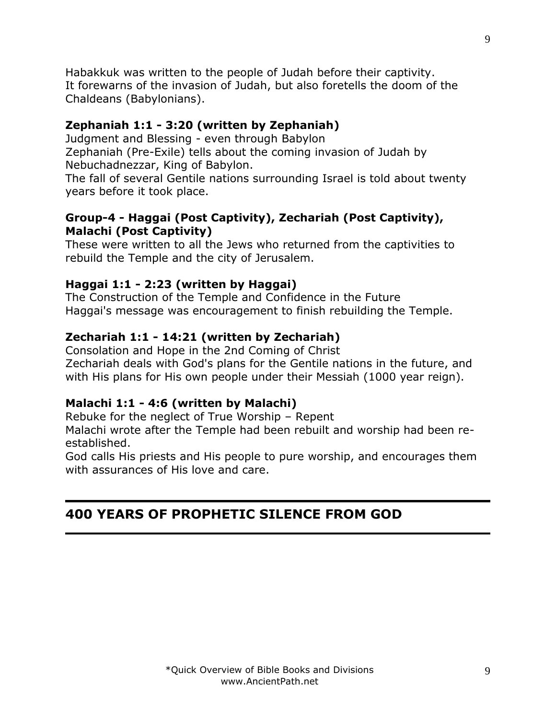Habakkuk was written to the people of Judah before their captivity. It forewarns of the invasion of Judah, but also foretells the doom of the Chaldeans (Babylonians).

#### **Zephaniah 1:1 - 3:20 (written by Zephaniah)**

Judgment and Blessing - even through Babylon Zephaniah (Pre-Exile) tells about the coming invasion of Judah by Nebuchadnezzar, King of Babylon.

The fall of several Gentile nations surrounding Israel is told about twenty years before it took place.

#### **Group-4 - Haggai (Post Captivity), Zechariah (Post Captivity), Malachi (Post Captivity)**

These were written to all the Jews who returned from the captivities to rebuild the Temple and the city of Jerusalem.

### **Haggai 1:1 - 2:23 (written by Haggai)**

The Construction of the Temple and Confidence in the Future Haggai's message was encouragement to finish rebuilding the Temple.

### **Zechariah 1:1 - 14:21 (written by Zechariah)**

Consolation and Hope in the 2nd Coming of Christ Zechariah deals with God's plans for the Gentile nations in the future, and with His plans for His own people under their Messiah (1000 year reign).

#### **Malachi 1:1 - 4:6 (written by Malachi)**

Rebuke for the neglect of True Worship – Repent

Malachi wrote after the Temple had been rebuilt and worship had been reestablished.

God calls His priests and His people to pure worship, and encourages them with assurances of His love and care.

# **400 YEARS OF PROPHETIC SILENCE FROM GOD**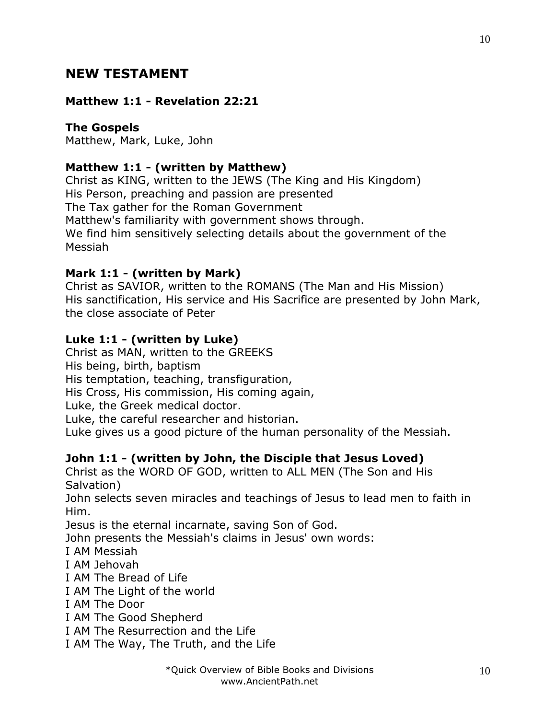# **NEW TESTAMENT**

#### **Matthew 1:1 - Revelation 22:21**

#### **The Gospels**

Matthew, Mark, Luke, John

### **Matthew 1:1 - (written by Matthew)**

Christ as KING, written to the JEWS (The King and His Kingdom) His Person, preaching and passion are presented The Tax gather for the Roman Government Matthew's familiarity with government shows through. We find him sensitively selecting details about the government of the Messiah

### **Mark 1:1 - (written by Mark)**

Christ as SAVIOR, written to the ROMANS (The Man and His Mission) His sanctification, His service and His Sacrifice are presented by John Mark, the close associate of Peter

### **Luke 1:1 - (written by Luke)**

Christ as MAN, written to the GREEKS His being, birth, baptism His temptation, teaching, transfiguration, His Cross, His commission, His coming again, Luke, the Greek medical doctor.

Luke, the careful researcher and historian.

Luke gives us a good picture of the human personality of the Messiah.

### **John 1:1 - (written by John, the Disciple that Jesus Loved)**

Christ as the WORD OF GOD, written to ALL MEN (The Son and His Salvation)

John selects seven miracles and teachings of Jesus to lead men to faith in Him.

Jesus is the eternal incarnate, saving Son of God.

John presents the Messiah's claims in Jesus' own words:

I AM Messiah

- I AM Jehovah
- I AM The Bread of Life

I AM The Light of the world

- I AM The Door
- I AM The Good Shepherd
- I AM The Resurrection and the Life
- I AM The Way, The Truth, and the Life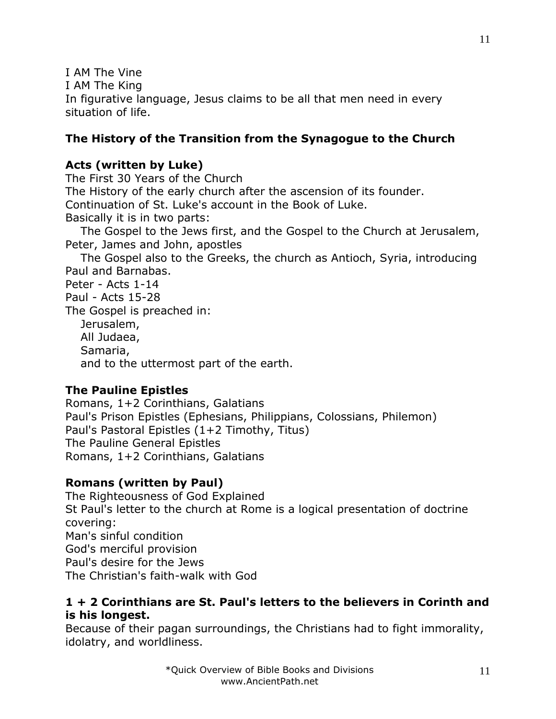I AM The Vine I AM The King In figurative language, Jesus claims to be all that men need in every situation of life.

#### **The History of the Transition from the Synagogue to the Church**

#### **Acts (written by Luke)**

The First 30 Years of the Church The History of the early church after the ascension of its founder. Continuation of St. Luke's account in the Book of Luke. Basically it is in two parts: The Gospel to the Jews first, and the Gospel to the Church at Jerusalem,

Peter, James and John, apostles

 The Gospel also to the Greeks, the church as Antioch, Syria, introducing Paul and Barnabas.

Peter - Acts 1-14 Paul - Acts 15-28 The Gospel is preached in: Jerusalem, All Judaea, Samaria, and to the uttermost part of the earth.

### **The Pauline Epistles**

Romans, 1+2 Corinthians, Galatians Paul's Prison Epistles (Ephesians, Philippians, Colossians, Philemon) Paul's Pastoral Epistles (1+2 Timothy, Titus) The Pauline General Epistles Romans, 1+2 Corinthians, Galatians

### **Romans (written by Paul)**

The Righteousness of God Explained St Paul's letter to the church at Rome is a logical presentation of doctrine covering: Man's sinful condition God's merciful provision Paul's desire for the Jews The Christian's faith-walk with God

#### **1 + 2 Corinthians are St. Paul's letters to the believers in Corinth and is his longest.**

Because of their pagan surroundings, the Christians had to fight immorality, idolatry, and worldliness.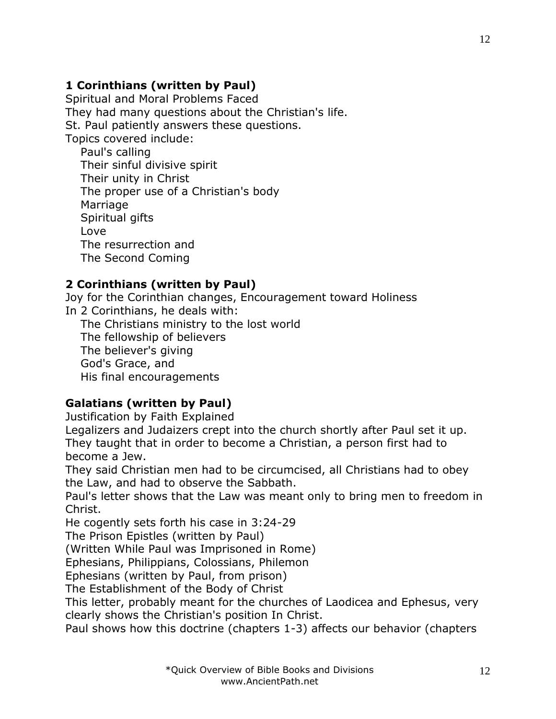# **1 Corinthians (written by Paul)**

Spiritual and Moral Problems Faced They had many questions about the Christian's life. St. Paul patiently answers these questions. Topics covered include:

 Paul's calling Their sinful divisive spirit Their unity in Christ The proper use of a Christian's body Marriage Spiritual gifts Love The resurrection and The Second Coming

### **2 Corinthians (written by Paul)**

Joy for the Corinthian changes, Encouragement toward Holiness In 2 Corinthians, he deals with: The Christians ministry to the lost world The fellowship of believers The believer's giving God's Grace, and His final encouragements

### **Galatians (written by Paul)**

Justification by Faith Explained

Legalizers and Judaizers crept into the church shortly after Paul set it up. They taught that in order to become a Christian, a person first had to become a Jew.

They said Christian men had to be circumcised, all Christians had to obey the Law, and had to observe the Sabbath.

Paul's letter shows that the Law was meant only to bring men to freedom in Christ.

He cogently sets forth his case in 3:24-29

The Prison Epistles (written by Paul)

(Written While Paul was Imprisoned in Rome)

Ephesians, Philippians, Colossians, Philemon

Ephesians (written by Paul, from prison)

The Establishment of the Body of Christ

This letter, probably meant for the churches of Laodicea and Ephesus, very clearly shows the Christian's position In Christ.

Paul shows how this doctrine (chapters 1-3) affects our behavior (chapters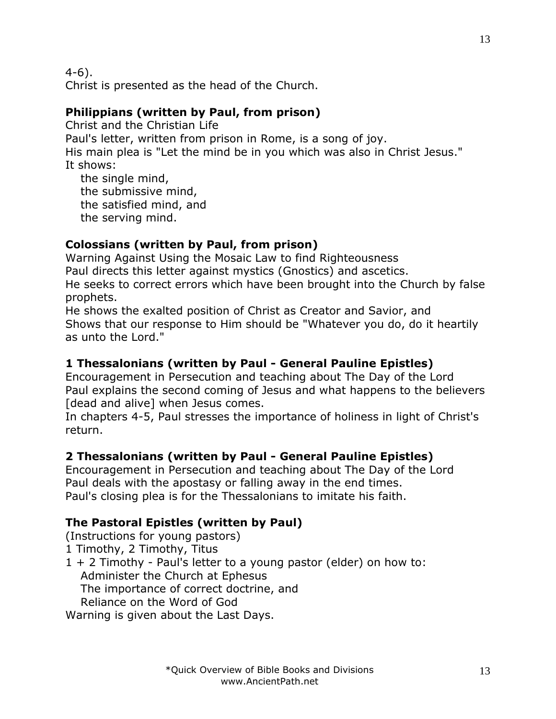4-6).

Christ is presented as the head of the Church.

### **Philippians (written by Paul, from prison)**

Christ and the Christian Life Paul's letter, written from prison in Rome, is a song of joy. His main plea is "Let the mind be in you which was also in Christ Jesus." It shows:

 the single mind, the submissive mind, the satisfied mind, and the serving mind.

## **Colossians (written by Paul, from prison)**

Warning Against Using the Mosaic Law to find Righteousness

Paul directs this letter against mystics (Gnostics) and ascetics.

He seeks to correct errors which have been brought into the Church by false prophets.

He shows the exalted position of Christ as Creator and Savior, and Shows that our response to Him should be "Whatever you do, do it heartily as unto the Lord."

# **1 Thessalonians (written by Paul - General Pauline Epistles)**

Encouragement in Persecution and teaching about The Day of the Lord Paul explains the second coming of Jesus and what happens to the believers [dead and alive] when Jesus comes.

In chapters 4-5, Paul stresses the importance of holiness in light of Christ's return.

# **2 Thessalonians (written by Paul - General Pauline Epistles)**

Encouragement in Persecution and teaching about The Day of the Lord Paul deals with the apostasy or falling away in the end times. Paul's closing plea is for the Thessalonians to imitate his faith.

### **The Pastoral Epistles (written by Paul)**

(Instructions for young pastors)

1 Timothy, 2 Timothy, Titus

1 + 2 Timothy - Paul's letter to a young pastor (elder) on how to: Administer the Church at Ephesus

The importance of correct doctrine, and

Reliance on the Word of God

Warning is given about the Last Days.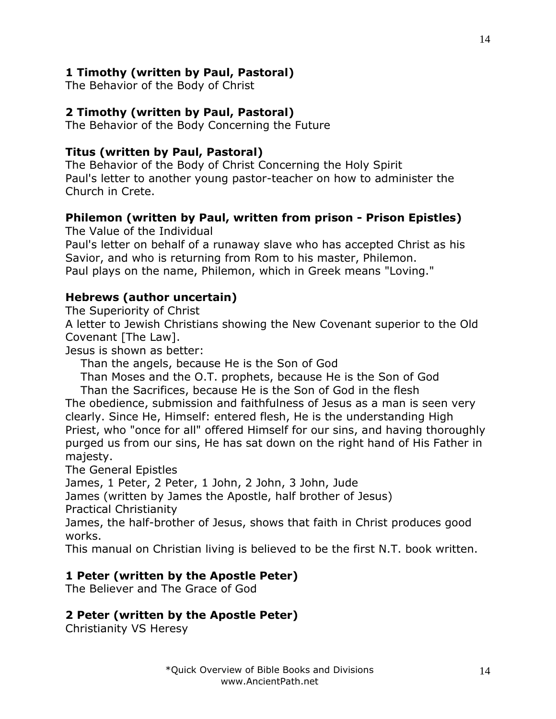### **1 Timothy (written by Paul, Pastoral)**

The Behavior of the Body of Christ

#### **2 Timothy (written by Paul, Pastoral)**

The Behavior of the Body Concerning the Future

#### **Titus (written by Paul, Pastoral)**

The Behavior of the Body of Christ Concerning the Holy Spirit Paul's letter to another young pastor-teacher on how to administer the Church in Crete.

#### **Philemon (written by Paul, written from prison - Prison Epistles)**

The Value of the Individual

Paul's letter on behalf of a runaway slave who has accepted Christ as his Savior, and who is returning from Rom to his master, Philemon. Paul plays on the name, Philemon, which in Greek means "Loving."

#### **Hebrews (author uncertain)**

The Superiority of Christ

A letter to Jewish Christians showing the New Covenant superior to the Old Covenant [The Law].

Jesus is shown as better:

Than the angels, because He is the Son of God

Than Moses and the O.T. prophets, because He is the Son of God

 Than the Sacrifices, because He is the Son of God in the flesh The obedience, submission and faithfulness of Jesus as a man is seen very clearly. Since He, Himself: entered flesh, He is the understanding High Priest, who "once for all" offered Himself for our sins, and having thoroughly purged us from our sins, He has sat down on the right hand of His Father in majesty.

The General Epistles

James, 1 Peter, 2 Peter, 1 John, 2 John, 3 John, Jude

James (written by James the Apostle, half brother of Jesus) Practical Christianity

James, the half-brother of Jesus, shows that faith in Christ produces good

works.

This manual on Christian living is believed to be the first N.T. book written.

### **1 Peter (written by the Apostle Peter)**

The Believer and The Grace of God

#### **2 Peter (written by the Apostle Peter)**

Christianity VS Heresy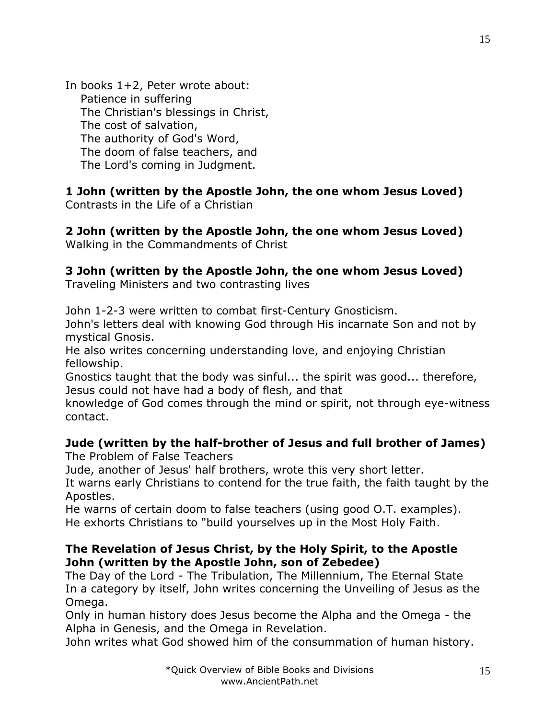In books 1+2, Peter wrote about: Patience in suffering The Christian's blessings in Christ, The cost of salvation, The authority of God's Word, The doom of false teachers, and The Lord's coming in Judgment.

**1 John (written by the Apostle John, the one whom Jesus Loved)** Contrasts in the Life of a Christian

**2 John (written by the Apostle John, the one whom Jesus Loved)** Walking in the Commandments of Christ

### **3 John (written by the Apostle John, the one whom Jesus Loved)**

Traveling Ministers and two contrasting lives

John 1-2-3 were written to combat first-Century Gnosticism.

John's letters deal with knowing God through His incarnate Son and not by mystical Gnosis.

He also writes concerning understanding love, and enjoying Christian fellowship.

Gnostics taught that the body was sinful... the spirit was good... therefore, Jesus could not have had a body of flesh, and that

knowledge of God comes through the mind or spirit, not through eye-witness contact.

### **Jude (written by the half-brother of Jesus and full brother of James)**

The Problem of False Teachers

Jude, another of Jesus' half brothers, wrote this very short letter.

It warns early Christians to contend for the true faith, the faith taught by the Apostles.

He warns of certain doom to false teachers (using good O.T. examples). He exhorts Christians to "build yourselves up in the Most Holy Faith.

#### **The Revelation of Jesus Christ, by the Holy Spirit, to the Apostle John (written by the Apostle John, son of Zebedee)**

The Day of the Lord - The Tribulation, The Millennium, The Eternal State In a category by itself, John writes concerning the Unveiling of Jesus as the Omega.

Only in human history does Jesus become the Alpha and the Omega - the Alpha in Genesis, and the Omega in Revelation.

John writes what God showed him of the consummation of human history.